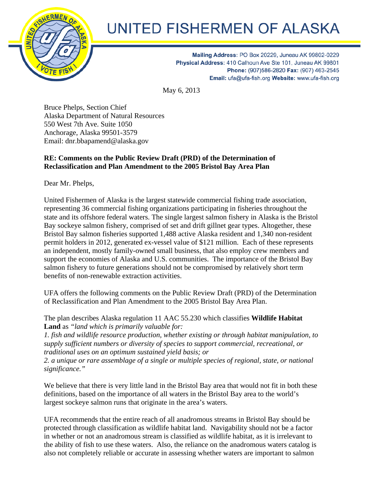

## UNITED FISHERMEN OF ALASKA

Mailing Address: PO Box 20229, Juneau AK 99802-0229 Physical Address: 410 Calhoun Ave Ste 101, Juneau AK 99801 Phone: (907)586-2820 Fax: (907) 463-2545 Email: ufa@ufa-fish.org Website: www.ufa-fish.org

May 6, 2013

Bruce Phelps, Section Chief Alaska Department of Natural Resources 550 West 7th Ave. Suite 1050 Anchorage, Alaska 99501-3579 Email: dnr.bbapamend@alaska.gov

## **RE: Comments on the Public Review Draft (PRD) of the Determination of Reclassification and Plan Amendment to the 2005 Bristol Bay Area Plan**

Dear Mr. Phelps,

United Fishermen of Alaska is the largest statewide commercial fishing trade association, representing 36 commercial fishing organizations participating in fisheries throughout the state and its offshore federal waters. The single largest salmon fishery in Alaska is the Bristol Bay sockeye salmon fishery, comprised of set and drift gillnet gear types. Altogether, these Bristol Bay salmon fisheries supported 1,488 active Alaska resident and 1,340 non-resident permit holders in 2012, generated ex-vessel value of \$121 million. Each of these represents an independent, mostly family-owned small business, that also employ crew members and support the economies of Alaska and U.S. communities. The importance of the Bristol Bay salmon fishery to future generations should not be compromised by relatively short term benefits of non-renewable extraction activities.

UFA offers the following comments on the Public Review Draft (PRD) of the Determination of Reclassification and Plan Amendment to the 2005 Bristol Bay Area Plan.

The plan describes Alaska regulation 11 AAC 55.230 which classifies **Wildlife Habitat Land** as *"land which is primarily valuable for:* 

*1. fish and wildlife resource production, whether existing or through habitat manipulation, to supply sufficient numbers or diversity of species to support commercial, recreational, or traditional uses on an optimum sustained yield basis; or* 

*2. a unique or rare assemblage of a single or multiple species of regional, state, or national significance."* 

We believe that there is very little land in the Bristol Bay area that would not fit in both these definitions, based on the importance of all waters in the Bristol Bay area to the world's largest sockeye salmon runs that originate in the area's waters.

UFA recommends that the entire reach of all anadromous streams in Bristol Bay should be protected through classification as wildlife habitat land. Navigability should not be a factor in whether or not an anadromous stream is classified as wildlife habitat, as it is irrelevant to the ability of fish to use these waters. Also, the reliance on the anadromous waters catalog is also not completely reliable or accurate in assessing whether waters are important to salmon